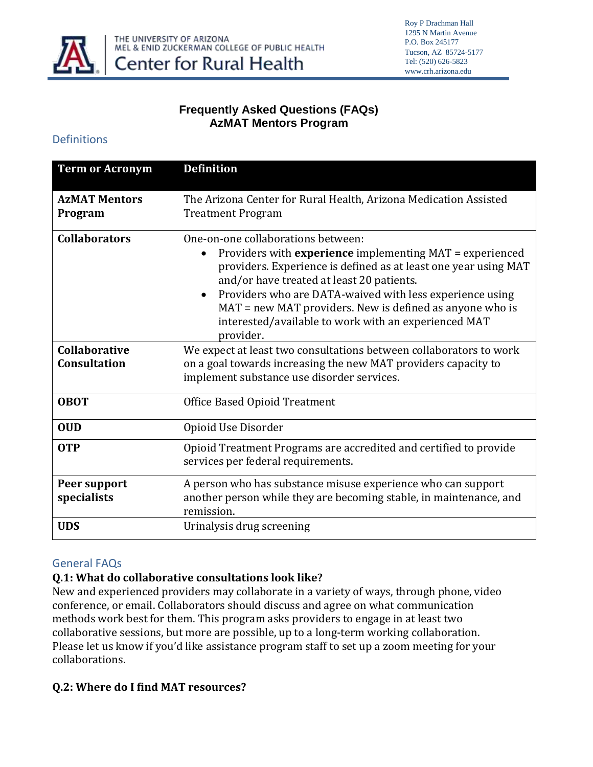

### **Frequently Asked Questions (FAQs) AzMAT Mentors Program**

#### Definitions

| <b>Term or Acronym</b>                      | <b>Definition</b>                                                                                                                                                                                                                                                                                                                                                                                                        |
|---------------------------------------------|--------------------------------------------------------------------------------------------------------------------------------------------------------------------------------------------------------------------------------------------------------------------------------------------------------------------------------------------------------------------------------------------------------------------------|
| <b>AzMAT Mentors</b><br>Program             | The Arizona Center for Rural Health, Arizona Medication Assisted<br><b>Treatment Program</b>                                                                                                                                                                                                                                                                                                                             |
| <b>Collaborators</b>                        | One-on-one collaborations between:<br>Providers with experience implementing MAT = experienced<br>$\bullet$<br>providers. Experience is defined as at least one year using MAT<br>and/or have treated at least 20 patients.<br>Providers who are DATA-waived with less experience using<br>MAT = new MAT providers. New is defined as anyone who is<br>interested/available to work with an experienced MAT<br>provider. |
| <b>Collaborative</b><br><b>Consultation</b> | We expect at least two consultations between collaborators to work<br>on a goal towards increasing the new MAT providers capacity to<br>implement substance use disorder services.                                                                                                                                                                                                                                       |
| <b>OBOT</b>                                 | <b>Office Based Opioid Treatment</b>                                                                                                                                                                                                                                                                                                                                                                                     |
| <b>OUD</b>                                  | Opioid Use Disorder                                                                                                                                                                                                                                                                                                                                                                                                      |
| <b>OTP</b>                                  | Opioid Treatment Programs are accredited and certified to provide<br>services per federal requirements.                                                                                                                                                                                                                                                                                                                  |
| Peer support<br>specialists                 | A person who has substance misuse experience who can support<br>another person while they are becoming stable, in maintenance, and<br>remission.                                                                                                                                                                                                                                                                         |
| <b>UDS</b>                                  | Urinalysis drug screening                                                                                                                                                                                                                                                                                                                                                                                                |

#### General FAQs

### **Q.1: What do collaborative consultations look like?**

New and experienced providers may collaborate in a variety of ways, through phone, video conference, or email. Collaborators should discuss and agree on what communication methods work best for them. This program asks providers to engage in at least two collaborative sessions, but more are possible, up to a long-term working collaboration. Please let us know if you'd like assistance program staff to set up a zoom meeting for your collaborations.

### **Q.2: Where do I find MAT resources?**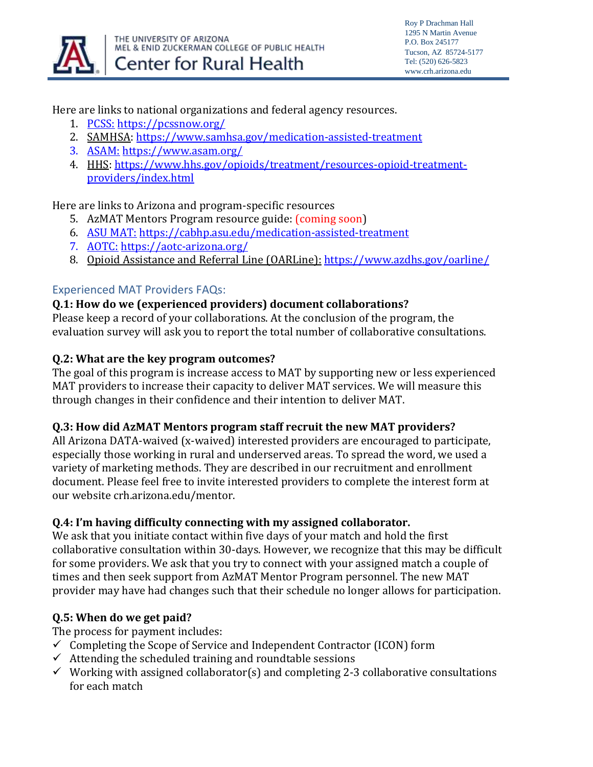

#### Here are links to national organizations and federal agency resources.

- 1. [PCSS:](https://pcssnow.org/) <https://pcssnow.org/>
- 2. SAMHSA[: https://www.samhsa.gov/medication-assisted-treatment](https://www.samhsa.gov/medication-assisted-treatment)
- 3. <ASAM:> <https://www.asam.org/>
- 4. HHS: [https://www.hhs.gov/opioids/treatment/resources-opioid-treatment](https://www.hhs.gov/opioids/treatment/resources-opioid-treatment-providers/index.html)[providers/index.html](https://www.hhs.gov/opioids/treatment/resources-opioid-treatment-providers/index.html)

Here are links to Arizona and program-specific resources

- 5. AzMAT Mentors Program resource guide: (coming soon)
- 6. [ASU MAT:](https://cabhp.asu.edu/medication-assisted-treatment) <https://cabhp.asu.edu/medication-assisted-treatment>
- 7. [AOTC:](https://aotc-arizona.org/) <https://aotc-arizona.org/>
- 8. Opioid Assistance and Referral Line (OARLine): <https://www.azdhs.gov/oarline/>

# Experienced MAT Providers FAQs:

### **Q.1: How do we (experienced providers) document collaborations?**

Please keep a record of your collaborations. At the conclusion of the program, the evaluation survey will ask you to report the total number of collaborative consultations.

### **Q.2: What are the key program outcomes?**

The goal of this program is increase access to MAT by supporting new or less experienced MAT providers to increase their capacity to deliver MAT services. We will measure this through changes in their confidence and their intention to deliver MAT.

### **Q.3: How did AzMAT Mentors program staff recruit the new MAT providers?**

All Arizona DATA-waived (x-waived) interested providers are encouraged to participate, especially those working in rural and underserved areas. To spread the word, we used a variety of marketing methods. They are described in our recruitment and enrollment document. Please feel free to invite interested providers to complete the interest form at our website crh.arizona.edu/mentor.

# **Q.4: I'm having difficulty connecting with my assigned collaborator.**

We ask that you initiate contact within five days of your match and hold the first collaborative consultation within 30-days. However, we recognize that this may be difficult for some providers. We ask that you try to connect with your assigned match a couple of times and then seek support from AzMAT Mentor Program personnel. The new MAT provider may have had changes such that their schedule no longer allows for participation.

# **Q.5: When do we get paid?**

The process for payment includes:

- $\checkmark$  Completing the Scope of Service and Independent Contractor (ICON) form
- $\checkmark$  Attending the scheduled training and roundtable sessions
- $\checkmark$  Working with assigned collaborator(s) and completing 2-3 collaborative consultations for each match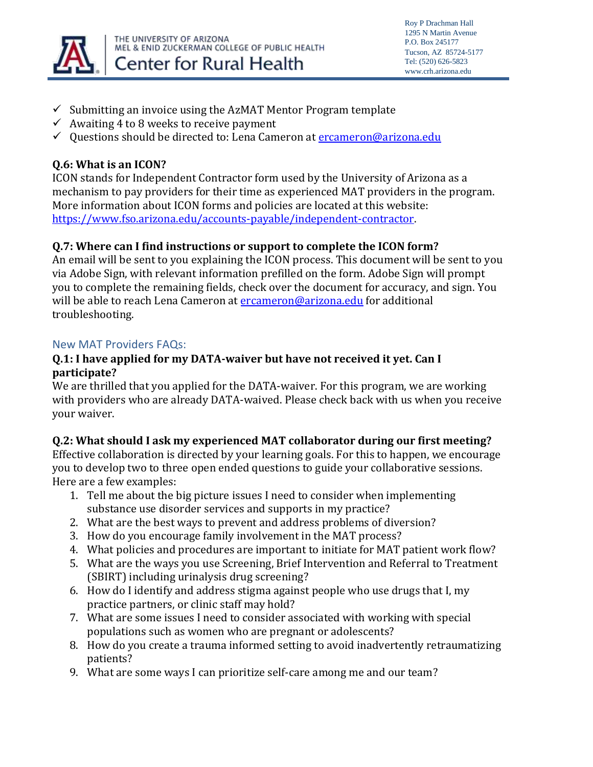

Roy P Drachman Hall 1295 N Martin Avenue P.O. Box 245177 Tucson, AZ 85724-5177 Tel: (520) 626-5823 www.crh.arizona.edu

- $\checkmark$  Submitting an invoice using the AzMAT Mentor Program template
- $\checkmark$  Awaiting 4 to 8 weeks to receive payment
- ✓ Questions should be directed to: Lena Cameron at [ercameron@arizona.edu](mailto:ercameron@arizona.edu)

### **Q.6: What is an ICON?**

ICON stands for Independent Contractor form used by the University of Arizona as a mechanism to pay providers for their time as experienced MAT providers in the program. More information about ICON forms and policies are located at this website: [https://www.fso.arizona.edu/accounts-payable/independent-contractor.](https://www.fso.arizona.edu/accounts-payable/independent-contractor)

# **Q.7: Where can I find instructions or support to complete the ICON form?**

An email will be sent to you explaining the ICON process. This document will be sent to you via Adobe Sign, with relevant information prefilled on the form. Adobe Sign will prompt you to complete the remaining fields, check over the document for accuracy, and sign. You will be able to reach Lena Cameron at [ercameron@arizona.edu](mailto:ercameron@arizona.edu) for additional troubleshooting.

### New MAT Providers FAQs:

#### **Q.1: I have applied for my DATA-waiver but have not received it yet. Can I participate?**

We are thrilled that you applied for the DATA-waiver. For this program, we are working with providers who are already DATA-waived. Please check back with us when you receive your waiver.

### **Q.2: What should I ask my experienced MAT collaborator during our first meeting?**

Effective collaboration is directed by your learning goals. For this to happen, we encourage you to develop two to three open ended questions to guide your collaborative sessions. Here are a few examples:

- 1. Tell me about the big picture issues I need to consider when implementing substance use disorder services and supports in my practice?
- 2. What are the best ways to prevent and address problems of diversion?
- 3. How do you encourage family involvement in the MAT process?
- 4. What policies and procedures are important to initiate for MAT patient work flow?
- 5. What are the ways you use Screening, Brief Intervention and Referral to Treatment (SBIRT) including urinalysis drug screening?
- 6. How do I identify and address stigma against people who use drugs that I, my practice partners, or clinic staff may hold?
- 7. What are some issues I need to consider associated with working with special populations such as women who are pregnant or adolescents?
- 8. How do you create a trauma informed setting to avoid inadvertently retraumatizing patients?
- 9. What are some ways I can prioritize self-care among me and our team?